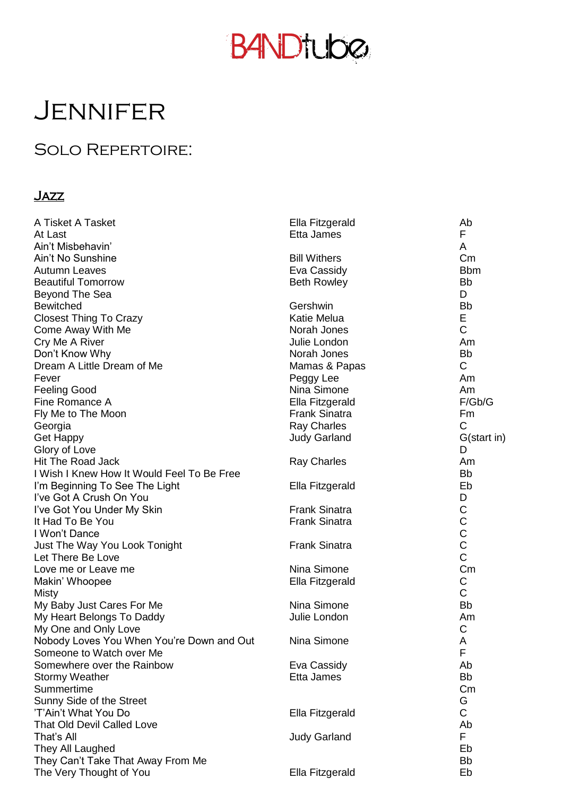# **B4NDtube**

### **JENNIFER**

#### Solo Repertoire:

#### Jazz

| A Tisket A Tasket                          | Ella Fitzgerald      | Ab            |
|--------------------------------------------|----------------------|---------------|
| At Last                                    | Etta James           | F             |
| Ain't Misbehavin'                          |                      | A             |
| Ain't No Sunshine                          | <b>Bill Withers</b>  | Cm            |
| <b>Autumn Leaves</b>                       | Eva Cassidy          | <b>Bbm</b>    |
| <b>Beautiful Tomorrow</b>                  | <b>Beth Rowley</b>   | <b>Bb</b>     |
| Beyond The Sea                             |                      | D             |
| <b>Bewitched</b>                           | Gershwin             | <b>Bb</b>     |
| <b>Closest Thing To Crazy</b>              | <b>Katie Melua</b>   | E             |
| Come Away With Me                          | Norah Jones          | $\mathsf C$   |
| Cry Me A River                             | Julie London         | Am            |
| Don't Know Why                             | Norah Jones          | <b>Bb</b>     |
| Dream A Little Dream of Me                 | Mamas & Papas        | C             |
| Fever                                      | Peggy Lee            | Am            |
| <b>Feeling Good</b>                        | Nina Simone          | Am            |
| Fine Romance A                             | Ella Fitzgerald      | F/Gb/G        |
| Fly Me to The Moon                         | <b>Frank Sinatra</b> | Fm            |
| Georgia                                    | <b>Ray Charles</b>   | $\mathsf{C}$  |
| <b>Get Happy</b>                           | <b>Judy Garland</b>  | G(start in)   |
| Glory of Love                              |                      | D             |
| Hit The Road Jack                          | <b>Ray Charles</b>   | Am            |
| I Wish I Knew How It Would Feel To Be Free |                      | <b>Bb</b>     |
| I'm Beginning To See The Light             | Ella Fitzgerald      | Eb            |
| I've Got A Crush On You                    |                      | D             |
| I've Got You Under My Skin                 | <b>Frank Sinatra</b> |               |
| It Had To Be You                           | <b>Frank Sinatra</b> |               |
| I Won't Dance                              |                      |               |
| Just The Way You Look Tonight              | <b>Frank Sinatra</b> | CCCCC         |
| Let There Be Love                          |                      |               |
| Love me or Leave me                        | Nina Simone          | Cm            |
| Makin' Whoopee                             | Ella Fitzgerald      | C             |
| <b>Misty</b>                               |                      | $\mathsf C$   |
| My Baby Just Cares For Me                  | Nina Simone          | <b>Bb</b>     |
| My Heart Belongs To Daddy                  | Julie London         | Am            |
| My One and Only Love                       |                      | C             |
| Nobody Loves You When You're Down and Out  | Nina Simone          | A             |
| Someone to Watch over Me                   |                      | F             |
| Somewhere over the Rainbow                 | Eva Cassidy          | Ab            |
| <b>Stormy Weather</b>                      | Etta James           | <b>Bb</b>     |
| Summertime                                 |                      | $\mathsf{Cm}$ |
| Sunny Side of the Street                   |                      | G             |
| 'T'Ain't What You Do                       | Ella Fitzgerald      | $\mathsf C$   |
| <b>That Old Devil Called Love</b>          |                      | Ab            |
| That's All                                 | <b>Judy Garland</b>  | F             |
| They All Laughed                           |                      | Eb            |
| They Can't Take That Away From Me          |                      | Bb            |
| The Very Thought of You                    | Ella Fitzgerald      | Eb            |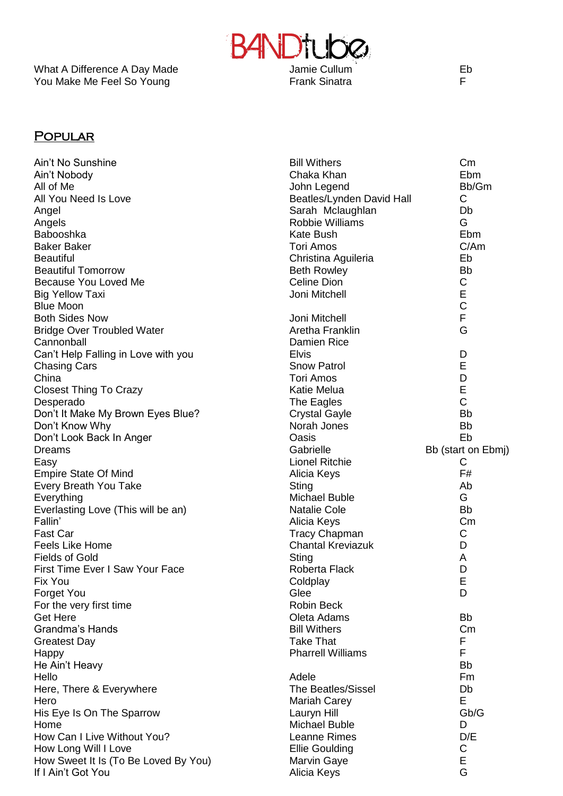You Make Me Feel So Young The Controller Sinatra Frank Sinatra



#### **POPULAR**

| Ain't No Sunshine                    | <b>Bill Withers</b>       | $\mathsf{Cm}$      |
|--------------------------------------|---------------------------|--------------------|
| Ain't Nobody                         | Chaka Khan                | Ebm                |
| All of Me                            | John Legend               | Bb/Gm              |
| All You Need Is Love                 | Beatles/Lynden David Hall | $\mathsf C$        |
| Angel                                | Sarah Mclaughlan          | Db                 |
| Angels                               | <b>Robbie Williams</b>    | G                  |
| Babooshka                            | <b>Kate Bush</b>          | Ebm                |
| <b>Baker Baker</b>                   | <b>Tori Amos</b>          | C/Am               |
| <b>Beautiful</b>                     | Christina Aguileria       | Eb                 |
| <b>Beautiful Tomorrow</b>            | <b>Beth Rowley</b>        | <b>Bb</b>          |
| Because You Loved Me                 | <b>Celine Dion</b>        | С                  |
| <b>Big Yellow Taxi</b>               | Joni Mitchell             | E                  |
| <b>Blue Moon</b>                     |                           | $\mathsf C$        |
| <b>Both Sides Now</b>                | Joni Mitchell             | F                  |
| <b>Bridge Over Troubled Water</b>    | Aretha Franklin           | G                  |
| Cannonball                           | Damien Rice               |                    |
|                                      |                           |                    |
| Can't Help Falling in Love with you  | <b>Elvis</b>              | D                  |
| <b>Chasing Cars</b>                  | <b>Snow Patrol</b>        | Е                  |
| China                                | <b>Tori Amos</b>          | D                  |
| <b>Closest Thing To Crazy</b>        | Katie Melua               | E                  |
| Desperado                            | The Eagles                | C                  |
| Don't It Make My Brown Eyes Blue?    | <b>Crystal Gayle</b>      | <b>Bb</b>          |
| Don't Know Why                       | Norah Jones               | <b>Bb</b>          |
| Don't Look Back In Anger             | Oasis                     | Eb                 |
| <b>Dreams</b>                        | Gabrielle                 | Bb (start on Ebmj) |
| Easy                                 | <b>Lionel Ritchie</b>     | С                  |
| <b>Empire State Of Mind</b>          | Alicia Keys               | F#                 |
| Every Breath You Take                | Sting                     | Ab                 |
| Everything                           | <b>Michael Buble</b>      | G                  |
| Everlasting Love (This will be an)   | <b>Natalie Cole</b>       | <b>Bb</b>          |
| Fallin'                              | Alicia Keys               | Cm                 |
| <b>Fast Car</b>                      | <b>Tracy Chapman</b>      | С                  |
| Feels Like Home                      | <b>Chantal Kreviazuk</b>  | D                  |
| <b>Fields of Gold</b>                | <b>Sting</b>              | A                  |
| First Time Ever I Saw Your Face      | Roberta Flack             | D                  |
| Fix You                              | Coldplay                  | Е                  |
| <b>Forget You</b>                    | Glee                      | D                  |
| For the very first time              | <b>Robin Beck</b>         |                    |
| <b>Get Here</b>                      | Oleta Adams               | <b>Bb</b>          |
| <b>Grandma's Hands</b>               | <b>Bill Withers</b>       | Cm                 |
|                                      | <b>Take That</b>          | F                  |
| <b>Greatest Day</b>                  | <b>Pharrell Williams</b>  | F                  |
| Happy                                |                           |                    |
| He Ain't Heavy                       |                           | Bb                 |
| Hello                                | Adele                     | Fm                 |
| Here, There & Everywhere             | <b>The Beatles/Sissel</b> | Db                 |
| Hero                                 | <b>Mariah Carey</b>       | E                  |
| His Eye Is On The Sparrow            | Lauryn Hill               | Gb/G               |
| Home                                 | <b>Michael Buble</b>      | D                  |
| How Can I Live Without You?          | Leanne Rimes              | D/E                |
| How Long Will I Love                 | <b>Ellie Goulding</b>     | С                  |
| How Sweet It Is (To Be Loved By You) | <b>Marvin Gaye</b>        | E                  |
| If I Ain't Got You                   | Alicia Keys               | G                  |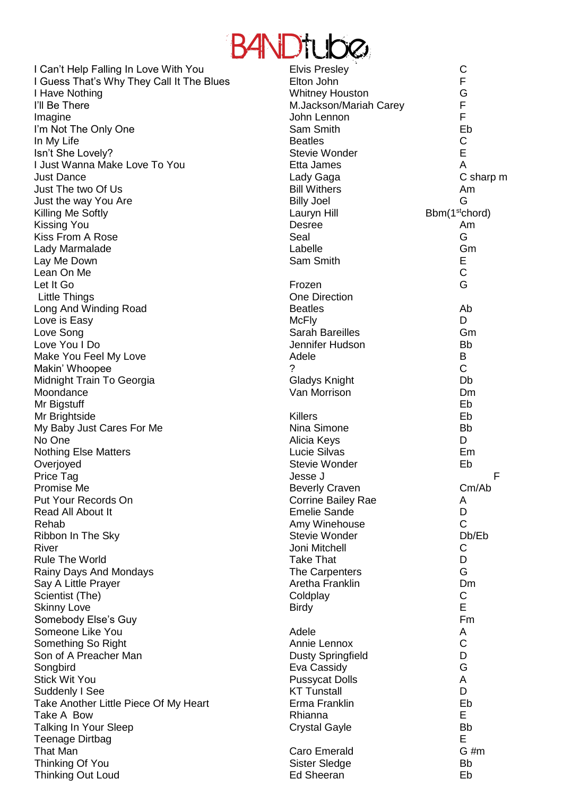

| I Can't Help Falling In Love With You     | <b>Elvis Presley</b>         | $\mathsf{C}$               |
|-------------------------------------------|------------------------------|----------------------------|
| I Guess That's Why They Call It The Blues | Elton John                   | F                          |
| I Have Nothing                            | <b>Whitney Houston</b>       | G                          |
| I'll Be There                             | M.Jackson/Mariah Carey       | F                          |
| Imagine                                   | John Lennon                  | F                          |
| I'm Not The Only One                      | Sam Smith                    | Eb                         |
| In My Life                                | <b>Beatles</b>               | C                          |
| Isn't She Lovely?                         | <b>Stevie Wonder</b>         | E                          |
| I Just Wanna Make Love To You             | Etta James                   | A                          |
| <b>Just Dance</b>                         | Lady Gaga                    | C sharp m                  |
| Just The two Of Us                        | <b>Bill Withers</b>          | Am                         |
| Just the way You Are                      | <b>Billy Joel</b>            | G                          |
|                                           |                              | Bbm(1 <sup>st</sup> chord) |
| Killing Me Softly                         | Lauryn Hill<br><b>Desree</b> |                            |
| <b>Kissing You</b>                        |                              | Am<br>G                    |
| Kiss From A Rose                          | Seal                         |                            |
| Lady Marmalade                            | Labelle                      | Gm                         |
| Lay Me Down                               | Sam Smith                    | Ε                          |
| Lean On Me                                |                              | $\mathsf C$                |
| Let It Go                                 | Frozen                       | G                          |
| <b>Little Things</b>                      | <b>One Direction</b>         |                            |
| Long And Winding Road                     | <b>Beatles</b>               | Ab                         |
| Love is Easy                              | <b>McFly</b>                 | D                          |
| Love Song                                 | <b>Sarah Bareilles</b>       | Gm                         |
| Love You I Do                             | Jennifer Hudson              | <b>Bb</b>                  |
| Make You Feel My Love                     | Adele                        | В                          |
| Makin' Whoopee                            | ?                            | $\mathsf C$                |
| Midnight Train To Georgia                 | Gladys Knight                | Db                         |
| Moondance                                 | Van Morrison                 | Dm                         |
| Mr Bigstuff                               |                              | Eb                         |
| Mr Brightside                             | <b>Killers</b>               | Eb                         |
| My Baby Just Cares For Me                 | Nina Simone                  | <b>Bb</b>                  |
| No One                                    | Alicia Keys                  | D                          |
| <b>Nothing Else Matters</b>               | Lucie Silvas                 | Em                         |
| Overjoyed                                 | <b>Stevie Wonder</b>         | Eb                         |
| Price Tag                                 | Jesse J                      | F                          |
| Promise Me                                | <b>Beverly Craven</b>        | Cm/Ab                      |
| Put Your Records On                       | <b>Corrine Bailey Rae</b>    | A                          |
| Read All About It                         | <b>Emelie Sande</b>          | D                          |
| Rehab                                     | Amy Winehouse                | $\mathsf C$                |
| Ribbon In The Sky                         | <b>Stevie Wonder</b>         | Db/Eb                      |
| River                                     | Joni Mitchell                | C                          |
| <b>Rule The World</b>                     | <b>Take That</b>             | D                          |
| Rainy Days And Mondays                    | The Carpenters               | G                          |
|                                           | Aretha Franklin              | Dm                         |
| Say A Little Prayer                       |                              | C                          |
| Scientist (The)                           | Coldplay                     | E                          |
| <b>Skinny Love</b>                        | <b>Birdy</b>                 |                            |
| Somebody Else's Guy                       |                              | Fm                         |
| Someone Like You                          | Adele                        | A                          |
| Something So Right                        | Annie Lennox                 | $\mathsf C$                |
| Son of A Preacher Man                     | <b>Dusty Springfield</b>     | D                          |
| Songbird                                  | Eva Cassidy                  | G                          |
| <b>Stick Wit You</b>                      | <b>Pussycat Dolls</b>        | A                          |
| Suddenly I See                            | <b>KT Tunstall</b>           | D                          |
| Take Another Little Piece Of My Heart     | Erma Franklin                | Eb                         |
| Take A Bow                                | Rhianna                      | E                          |
| <b>Talking In Your Sleep</b>              | <b>Crystal Gayle</b>         | <b>Bb</b>                  |
| <b>Teenage Dirtbag</b>                    |                              | E                          |
| <b>That Man</b>                           | Caro Emerald                 | $G \#m$                    |
| Thinking Of You                           | Sister Sledge                | <b>Bb</b>                  |
| Thinking Out Loud                         | <b>Ed Sheeran</b>            | Eb                         |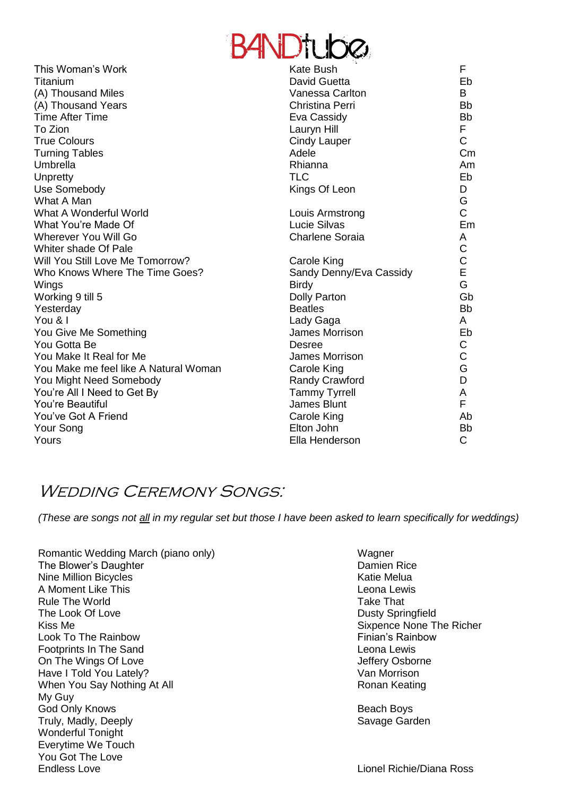# **BANDtube**

|                                       | न्तुमा ।                |              |
|---------------------------------------|-------------------------|--------------|
| This Woman's Work                     | Kate Bush               | F            |
| Titanium                              | David Guetta            | Eb           |
| (A) Thousand Miles                    | Vanessa Carlton         | B            |
| (A) Thousand Years                    | Christina Perri         | <b>Bb</b>    |
| <b>Time After Time</b>                | Eva Cassidy             | <b>Bb</b>    |
| To Zion                               | Lauryn Hill             | F            |
| <b>True Colours</b>                   | <b>Cindy Lauper</b>     | $\mathsf{C}$ |
| <b>Turning Tables</b>                 | Adele                   | Сm           |
| Umbrella                              | Rhianna                 | Am           |
| Unpretty                              | <b>TLC</b>              | Eb           |
| Use Somebody                          | Kings Of Leon           | D            |
| What A Man                            |                         | G            |
| What A Wonderful World                | Louis Armstrong         | C            |
| What You're Made Of                   | Lucie Silvas            | Em           |
| <b>Wherever You Will Go</b>           | <b>Charlene Soraia</b>  | A            |
| Whiter shade Of Pale                  |                         | C            |
| Will You Still Love Me Tomorrow?      | Carole King             | C            |
| Who Knows Where The Time Goes?        | Sandy Denny/Eva Cassidy | E            |
| Wings                                 | <b>Birdy</b>            | G            |
| Working 9 till 5                      | <b>Dolly Parton</b>     | Gb           |
| Yesterday                             | <b>Beatles</b>          | <b>Bb</b>    |
| You & I                               | Lady Gaga               | A            |
| You Give Me Something                 | James Morrison          | Eb           |
| You Gotta Be                          | Desree                  | С            |
| You Make It Real for Me               | James Morrison          | C            |
| You Make me feel like A Natural Woman | Carole King             | G            |
| You Might Need Somebody               | <b>Randy Crawford</b>   | D            |
| You're All I Need to Get By           | <b>Tammy Tyrrell</b>    | A            |
| You're Beautiful                      | James Blunt             | F            |
| You've Got A Friend                   | Carole King             | Ab           |
| Your Song                             | Elton John              | <b>Bb</b>    |
| Yours                                 | Ella Henderson          | C            |
|                                       |                         |              |

#### WEDDING CEREMONY SONGS:

*(These are songs not all in my regular set but those I have been asked to learn specifically for weddings)*

- Romantic Wedding March (piano only) Wagner The Blower's Daughter **Damien Rice Damien Rice** Nine Million Bicycles **Katie Melua** A Moment Like This Leonal Lewis Leonal Lewis Leonal Lewis Leonal Lewis Rule The World **Take That** The Look Of Love Dusty Springfield Kiss Me Sixpence None The Richer Look To The Rainbow **Finian's Rainbow Finian's Rainbow** Footprints In The Sand **Leona Lewis** On The Wings Of Love **Government Contract Contract Contract Contract Contract Contract Contract Contract Contract Contract Contract Contract Contract Contract Contract Contract Contract Contract Contract Contract Contract** Have I Told You Lately? The Contract of the Van Morrison When You Say Nothing At All **Ronan Keating** Ronan Keating My Guy God Only Knows **Beach Boys** Beach Boys Truly, Madly, Deeply Savage Garden Wonderful Tonight Everytime We Touch You Got The Love Endless Love **Lionel Richie/Diana Ross**
-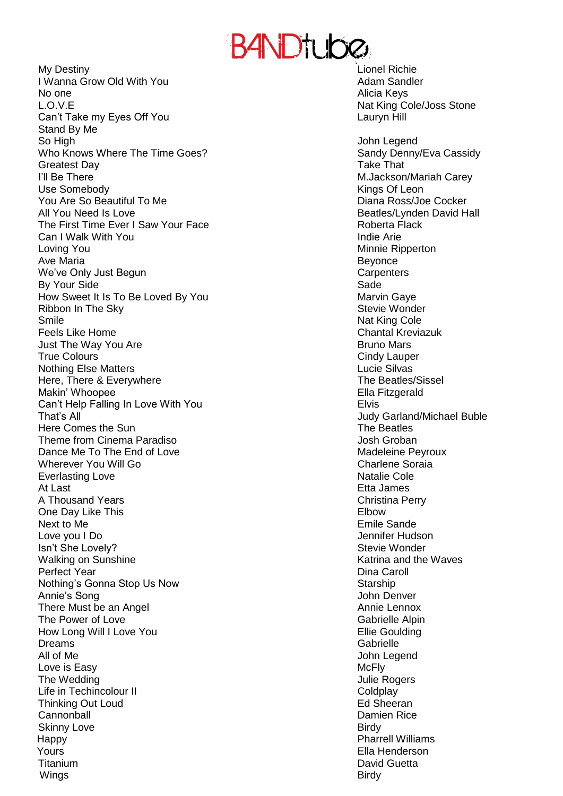## B4NDtube

My Destiny Lionel Richie I Wanna Grow Old With You **Adam Sandler** Adam Sandler No one **Alicia Keys No one** Alicia Keys L.O.V.E Nat King Cole/Joss Stone Can't Take my Eyes Off You **Lauryn Hill** Can't Take my Eyes Off You Stand By Me So High John Legend Who Knows Where The Time Goes? Sandy Denny/Eva Cassidy Greatest Day **Take That** I'll Be There **M.Jackson/Mariah Carey** Use Somebody **Kings Of Leon** You Are So Beautiful To Me **Diana Ross** Alexander Cocker All You Need Is Love **Beatles** All You Need Is Love **Beatles** The First Time Ever I Saw Your Face The Roberta Flack Can I Walk With You Indie Arie Loving You **Minnie Ripperton** Ave Maria **Beyonce** We've Only Just Begun **Carpenters** Carpenters By Your Side Sade How Sweet It Is To Be Loved By You Marvin Gaye Ribbon In The Sky Stevie Wonder Smile **Nat King Cole** Nat King Cole Nat King Cole Feels Like Home Chantal Kreviazuk Just The Way You Are **Bruno Mars Bruno Mars Bruno Mars** True Colours **Cindy Lauper** Cindy Lauper Nothing Else Matters Lucie Silvas Here, There & Everywhere The Beatles/Sissel Makin' Whoopee Ella Fitzgerald Can't Help Falling In Love With You **Elvis** Elvis That's All Here Comes the Sun The Beatles Theme from Cinema Paradiso **Access 1986** Josh Groban Dance Me To The End of Love Madeleine Peyroux Wherever You Will Go **Charles Charlene** Soraia Everlasting Love **Natalie Cole Natalie Cole Natalie Cole Natalie Cole** At Last **At Last** Etta James **Contract At Last** Etta James **Contract At Last** Etta James **Contract At Last** Etta James **Contract At Last** At Last 2007 **Contract At Last** 2007 **Contract At Last** 2007 **Contract At Last 2007** A Thousand Years **Christian Perry** Christina Perry One Day Like This **Elbow** Character Character Character Character Character Character Character Character Character Next to Me **Emile Sande** Love you I Do Jennifer Hudson **Isn't She Lovely?** Stevie Wonder Stevie Wonder Walking on Sunshine Katrina and the Waves Perfect Year Dina Caroll Nothing's Gonna Stop Us Now Starship Annie's Song **Annie's Song** John Denver There Must be an Angel Annie Lennox **Annie Lennox** The Power of Love The Power of Love The Power of Love The Power of Love The Cabrielle Alpin How Long Will I Love You **Ellie Goulding** Dreams Gabrielle All of Me John Legend Love is Easy **McFly** The Wedding **The Wedding**  $\sim$  1000  $\mu$  2000  $\mu$  3000  $\mu$  3000  $\mu$  3000  $\mu$  3000  $\mu$ Life in Techincolour II Coldplay and the control of the Coldplay Coldplay Thinking Out Loud **Ed Sheeran** Ed Sheeran **Cannonball** Damien Rice **Cannonball** Damien Rice **Damien Rice Damien Rice Damien Rice Damien Rice Damien Rice Damien Rice Damien Rice Damien Rice Damien Rice Damien Rice Damien Rice Damien Rice Dam** Skinny Love **Birdy** Happy Pharrell Williams Yours Ella Henderson Titanium David Guetta Wings **Birdy** 

Judy Garland/Michael Buble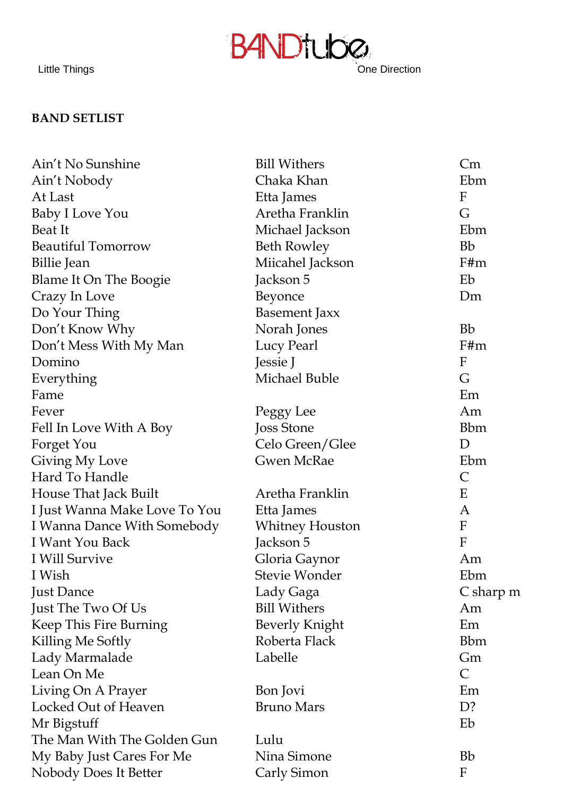### **B4NDtube** Little Things **Cones Cones Cones Cones Cones Cones Direction**

**BAND SETLIST**

| Ain't No Sunshine             | <b>Bill Withers</b>   | Cm               |
|-------------------------------|-----------------------|------------------|
| Ain't Nobody                  | Chaka Khan            | Ebm              |
| At Last                       | Etta James            | $\boldsymbol{F}$ |
| Baby I Love You               | Aretha Franklin       | G                |
| Beat It                       | Michael Jackson       | Ebm              |
| <b>Beautiful Tomorrow</b>     | <b>Beth Rowley</b>    | <b>Bb</b>        |
| Billie Jean                   | Miicahel Jackson      | F#m              |
| Blame It On The Boogie        | Jackson 5             | Eb               |
| Crazy In Love                 | Beyonce               | Dm               |
| Do Your Thing                 | <b>Basement Jaxx</b>  |                  |
| Don't Know Why                | Norah Jones           | <b>Bb</b>        |
| Don't Mess With My Man        | Lucy Pearl            | F#m              |
| Domino                        | Jessie J              | F                |
| Everything                    | Michael Buble         | G                |
| Fame                          |                       | Em               |
| Fever                         | Peggy Lee             | Am               |
| Fell In Love With A Boy       | Joss Stone            | <b>Bbm</b>       |
| Forget You                    | Celo Green/Glee       | D                |
| Giving My Love                | <b>Gwen McRae</b>     | Ebm              |
| Hard To Handle                |                       | $\mathsf{C}$     |
| House That Jack Built         | Aretha Franklin       | E                |
| I Just Wanna Make Love To You | Etta James            | A                |
| I Wanna Dance With Somebody   | Whitney Houston       | $\mathbf F$      |
| I Want You Back               | Jackson 5             | $\mathbf{F}$     |
| I Will Survive                | Gloria Gaynor         | Am               |
| I Wish                        | Stevie Wonder         | Ebm              |
| <b>Just Dance</b>             | Lady Gaga             | C sharp m        |
| Just The Two Of Us            | <b>Bill Withers</b>   | Am               |
| Keep This Fire Burning        | <b>Beverly Knight</b> | Em               |
| Killing Me Softly             | Roberta Flack         | <b>Bbm</b>       |
| Lady Marmalade                | Labelle               | Gm               |
| Lean On Me                    |                       | $\mathsf{C}$     |
| Living On A Prayer            | Bon Jovi              | Em               |
| Locked Out of Heaven          | <b>Bruno Mars</b>     | D?               |
| Mr Bigstuff                   |                       | Eb               |
| The Man With The Golden Gun   | Lulu                  |                  |
| My Baby Just Cares For Me     | Nina Simone           | <b>Bb</b>        |
| Nobody Does It Better         | Carly Simon           | F                |